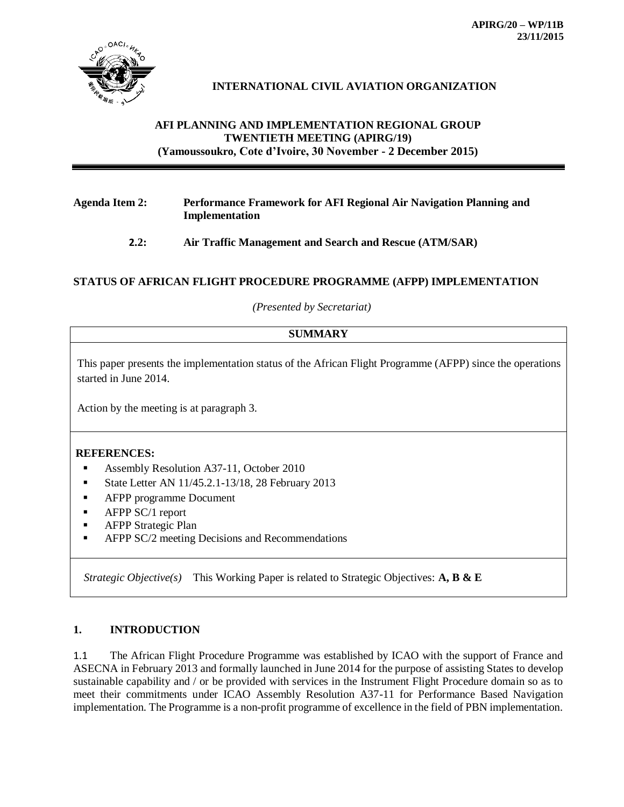

# **INTERNATIONAL CIVIL AVIATION ORGANIZATION**

## **AFI PLANNING AND IMPLEMENTATION REGIONAL GROUP TWENTIETH MEETING (APIRG/19) (Yamoussoukro, Cote d'Ivoire, 30 November - 2 December 2015)**

## **Agenda Item 2: Performance Framework for AFI Regional Air Navigation Planning and Implementation**

## **2.2: Air Traffic Management and Search and Rescue (ATM/SAR)**

## **STATUS OF AFRICAN FLIGHT PROCEDURE PROGRAMME (AFPP) IMPLEMENTATION**

*(Presented by Secretariat)*

## **SUMMARY**

This paper presents the implementation status of the African Flight Programme (AFPP) since the operations started in June 2014.

Action by the meeting is at paragraph 3.

### **REFERENCES:**

- Assembly Resolution A37-11, October 2010
- State Letter AN  $11/45.2.1 13/18$ , 28 February 2013
- **AFPP** programme Document
- $\blacksquare$  AFPP SC/1 report
- **-** AFPP Strategic Plan
- AFPP SC/2 meeting Decisions and Recommendations

*Strategic Objective(s)* This Working Paper is related to Strategic Objectives: **A, B & E**

## **1. INTRODUCTION**

1.1 The African Flight Procedure Programme was established by ICAO with the support of France and ASECNA in February 2013 and formally launched in June 2014 for the purpose of assisting States to develop sustainable capability and / or be provided with services in the Instrument Flight Procedure domain so as to meet their commitments under ICAO Assembly Resolution A37-11 for Performance Based Navigation implementation. The Programme is a non-profit programme of excellence in the field of PBN implementation.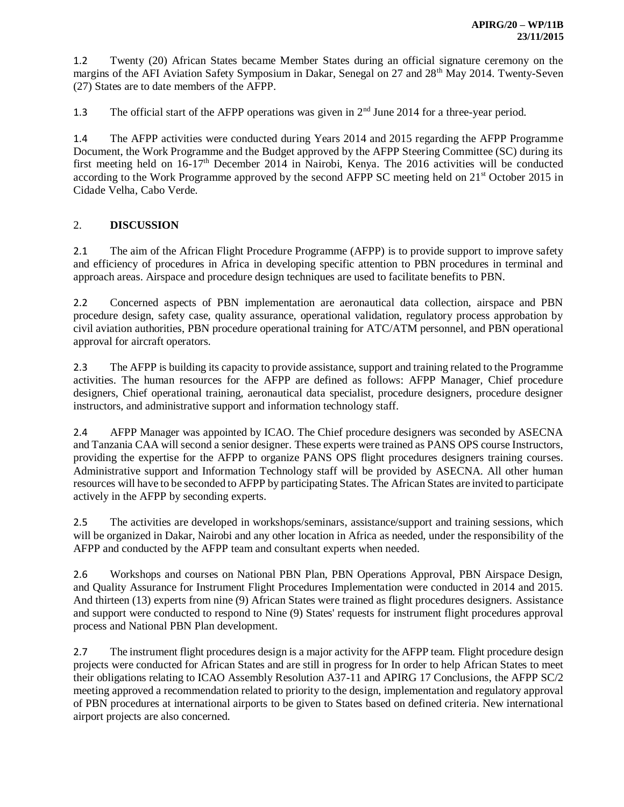1.2 Twenty (20) African States became Member States during an official signature ceremony on the margins of the AFI Aviation Safety Symposium in Dakar, Senegal on 27 and 28<sup>th</sup> May 2014. Twenty-Seven (27) States are to date members of the AFPP.

1.3 The official start of the AFPP operations was given in  $2<sup>nd</sup>$  June 2014 for a three-year period.

1.4 The AFPP activities were conducted during Years 2014 and 2015 regarding the AFPP Programme Document, the Work Programme and the Budget approved by the AFPP Steering Committee (SC) during its first meeting held on 16-17<sup>th</sup> December 2014 in Nairobi, Kenya. The 2016 activities will be conducted according to the Work Programme approved by the second AFPP SC meeting held on 21<sup>st</sup> October 2015 in Cidade Velha, Cabo Verde.

## 2. **DISCUSSION**

2.1 The aim of the African Flight Procedure Programme (AFPP) is to provide support to improve safety and efficiency of procedures in Africa in developing specific attention to PBN procedures in terminal and approach areas. Airspace and procedure design techniques are used to facilitate benefits to PBN.

2.2 Concerned aspects of PBN implementation are aeronautical data collection, airspace and PBN procedure design, safety case, quality assurance, operational validation, regulatory process approbation by civil aviation authorities, PBN procedure operational training for ATC/ATM personnel, and PBN operational approval for aircraft operators.

2.3 The AFPP is building its capacity to provide assistance, support and training related to the Programme activities. The human resources for the AFPP are defined as follows: AFPP Manager, Chief procedure designers, Chief operational training, aeronautical data specialist, procedure designers, procedure designer instructors, and administrative support and information technology staff.

2.4 AFPP Manager was appointed by ICAO. The Chief procedure designers was seconded by ASECNA and Tanzania CAA will second a senior designer. These experts were trained as PANS OPS course Instructors, providing the expertise for the AFPP to organize PANS OPS flight procedures designers training courses. Administrative support and Information Technology staff will be provided by ASECNA. All other human resources will have to be seconded to AFPP by participating States. The African States are invited to participate actively in the AFPP by seconding experts.

2.5 The activities are developed in workshops/seminars, assistance/support and training sessions, which will be organized in Dakar, Nairobi and any other location in Africa as needed, under the responsibility of the AFPP and conducted by the AFPP team and consultant experts when needed.

2.6 Workshops and courses on National PBN Plan, PBN Operations Approval, PBN Airspace Design, and Quality Assurance for Instrument Flight Procedures Implementation were conducted in 2014 and 2015. And thirteen (13) experts from nine (9) African States were trained as flight procedures designers. Assistance and support were conducted to respond to Nine (9) States' requests for instrument flight procedures approval process and National PBN Plan development.

2.7 The instrument flight procedures design is a major activity for the AFPP team. Flight procedure design projects were conducted for African States and are still in progress for In order to help African States to meet their obligations relating to ICAO Assembly Resolution A37-11 and APIRG 17 Conclusions, the AFPP SC/2 meeting approved a recommendation related to priority to the design, implementation and regulatory approval of PBN procedures at international airports to be given to States based on defined criteria. New international airport projects are also concerned.